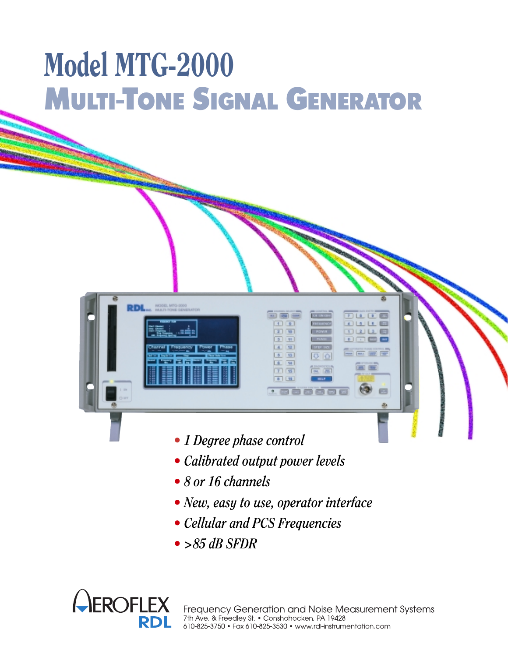# Model MTG-2000 MULTI-TONE SIGNAL GENERATOR



- *Calibrated output power levels*
- *8 or 16 channels*

MODEL MTG-2

**RDL.** 

*• New, easy to use, operator interface*

 $53$  $\sqrt{3}$ Γø  $74$ 

国西西南西

工田  $81116$ 

**Sexs** (MHF) Febr

**PSI FRAY** 

63)

63

- *Cellular and PCS Frequencies*
- *>85 dB SFDR*



represent a version of the Freedley St. • Conshohocken, PA 19428<br>7th Ave. & Freedley St. • Conshohocken, PA 19428 www.rdl-instrumentation.com<br>10-825-3530 • www.rdl-instrument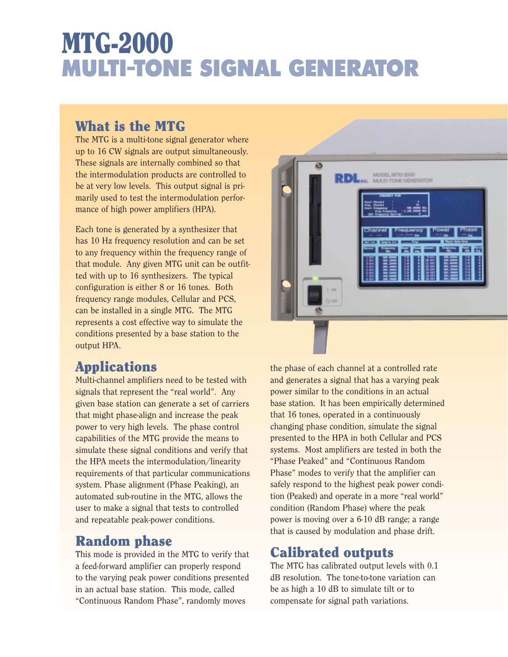## MTG-2000 MULTI-TONE SIGNAL GENERATOR

#### What is the MTG

The MTG is a multi-tone signal generator where up to 16 CW signals are output simultaneously. These signals are internally combined so that the intermodulation products are controlled to be at very low levels. This output signal is primarily used to test the intermodulation performance of high power amplifiers (HPA).

Each tone is generated by a synthesizer that has 10 Hz frequency resolution and can be set to any frequency within the frequency range of that module. Any given MTG unit can be outfitted with up to 16 synthesizers. The typical configuration is either 8 or 16 tones. Both frequency range modules, Cellular and PCS, can be installed in a single MTG. The MTG represents a cost effective way to simulate the conditions presented by a base station to the output HPA.

#### Applications

Multi-channel amplifiers need to be tested with signals that represent the "real world". Any given base station can generate a set of carriers that might phase-align and increase the peak power to very high levels. The phase control capabilities of the MTG provide the means to simulate these signal conditions and verify that the HPA meets the intermodulation/linearity requirements of that particular communications system. Phase alignment (Phase Peaking), an automated sub-routine in the MTG, allows the user to make a signal that tests to controlled and repeatable peak-power conditions.

#### Random phase

This mode is provided in the MTG to verify that a feed-forward amplifier can properly respond to the varying peak power conditions presented in an actual base station. This mode, called "Continuous Random Phase", randomly moves



the phase of each channel at a controlled rate and generates a signal that has a varying peak power similar to the conditions in an actual base station. It has been empirically determined that 16 tones, operated in a continuously changing phase condition, simulate the signal presented to the HPA in both Cellular and PCS systems. Most amplifiers are tested in both the "Phase Peaked" and "Continuous Random Phase" modes to verify that the amplifier can safely respond to the highest peak power condition (Peaked) and operate in a more "real world" condition (Random Phase) where the peak power is moving over a 6-10 dB range; a range that is caused by modulation and phase drift.

#### Calibrated outputs

The MTG has calibrated output levels with 0.1 dB resolution. The tone-to-tone variation can be as high a 10 dB to simulate tilt or to compensate for signal path variations.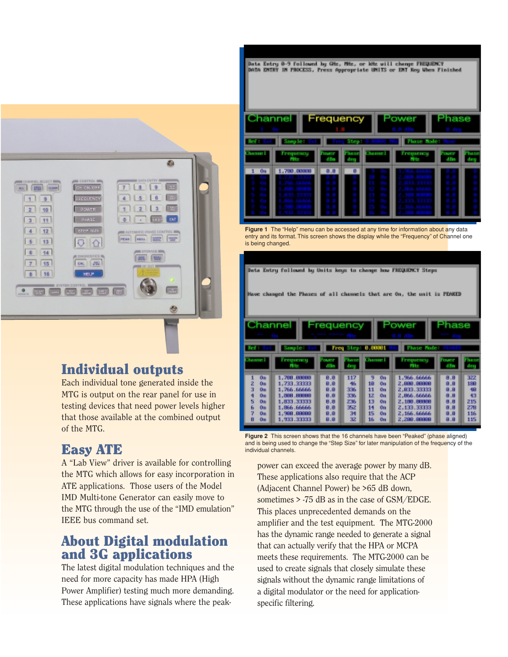

#### Individual outputs

Each individual tone generated inside the MTG is output on the rear panel for use in testing devices that need power levels higher that those available at the combined output of the MTG.

Easy ATE

A "Lab View" driver is available for controlling the MTG which allows for easy incorporation in ATE applications. Those users of the Model IMD Multi-tone Generator can easily move to the MTG through the use of the "IMD emulation" IEEE bus command set.

#### About Digital modulation and 3G applications

The latest digital modulation techniques and the need for more capacity has made HPA (High Power Amplifier) testing much more demanding. These applications have signals where the peak-

Channel 'hase requency owel

Data Entry 0-9 followed by GHz, MHz, or kHz will change FREQUEMCY DATA ENTRY IN FROCESS. Press Appropriate UNITS or ENT Key When Finished

**Figure 1** The "Help" menu can be accessed at any time for information about any data entry and its format. This screen shows the display while the "Frequency" of Channel one is being changed.

| Data Entry followed by Units keys to change how FREQUENCY Steps<br>Have changed the Phases of all channels that are On, the unit is PEAKED |                                                                                                                      |                                                      |                                                   |                                                                                             |                                                                                                                      |                                                            |                                                     |  |  |  |
|--------------------------------------------------------------------------------------------------------------------------------------------|----------------------------------------------------------------------------------------------------------------------|------------------------------------------------------|---------------------------------------------------|---------------------------------------------------------------------------------------------|----------------------------------------------------------------------------------------------------------------------|------------------------------------------------------------|-----------------------------------------------------|--|--|--|
| Channel<br>Red Co.                                                                                                                         |                                                                                                                      | Frequency                                            |                                                   | Power                                                                                       | Phase                                                                                                                |                                                            |                                                     |  |  |  |
| <b>Chamed</b>                                                                                                                              | Sample:<br>7 годинац<br><b>H-P</b>                                                                                   | <b>DUTT</b><br>dilə                                  | Freq Step<br>thance<br>deu                        | 0.00001<br><b>Channel</b>                                                                   | Phase Mode:<br><b>Регористо</b> ц<br>PH2                                                                             | <b>Finance</b><br>d En                                     | Ehren<br>dro                                        |  |  |  |
| 0n<br>п<br>z<br>0n<br>3<br>0 <sub>n</sub><br>٠<br>0 <sub>n</sub><br>质<br>0n<br>6<br>0n<br>7<br>0 <sub>n</sub><br>n<br>0 <sub>n</sub>       | 1,708,80000<br>1,733,33333<br>1.766.66666<br>1,880.00000<br>1,000,33003<br>1,866.66666<br>1,908,00000<br>1,933.33333 | 9.9<br>0.8<br>8.8<br>8.8<br>8.8<br>B.0<br>0.8<br>0.8 | 117<br>46<br>336<br>336<br>236<br>352<br>35<br>38 | ٠<br>Űπ<br>18<br>Űπ<br>11<br>Űп<br>12<br>Űπ<br>13<br>ūπ<br>14<br>Űπ<br>15<br>Űπ<br>16<br>Űп | 1.966.66666<br>2.000.00000<br>2,833,33333<br>33083.808.5<br>2,180,00000<br>2.133.33333<br>2.166.66666<br>2,280.00000 | $B - B$<br>0.6<br>8.8<br>$H_{-}$<br>H.H<br>0.8<br>0.8<br>H | 322<br>1831<br>40<br>43<br>215<br>278<br>116<br>115 |  |  |  |

**Figure 2** This screen shows that the 16 channels have been "Peaked" (phase aligned) and is being used to change the "Step Size" for later manipulation of the frequency of the individual channels.

power can exceed the average power by many dB. These applications also require that the ACP (Adjacent Channel Power) be >65 dB down, sometimes > -75 dB as in the case of GSM/EDGE. This places unprecedented demands on the amplifier and the test equipment. The MTG-2000 has the dynamic range needed to generate a signal that can actually verify that the HPA or MCPA meets these requirements. The MTG-2000 can be used to create signals that closely simulate these signals without the dynamic range limitations of a digital modulator or the need for applicationspecific filtering.